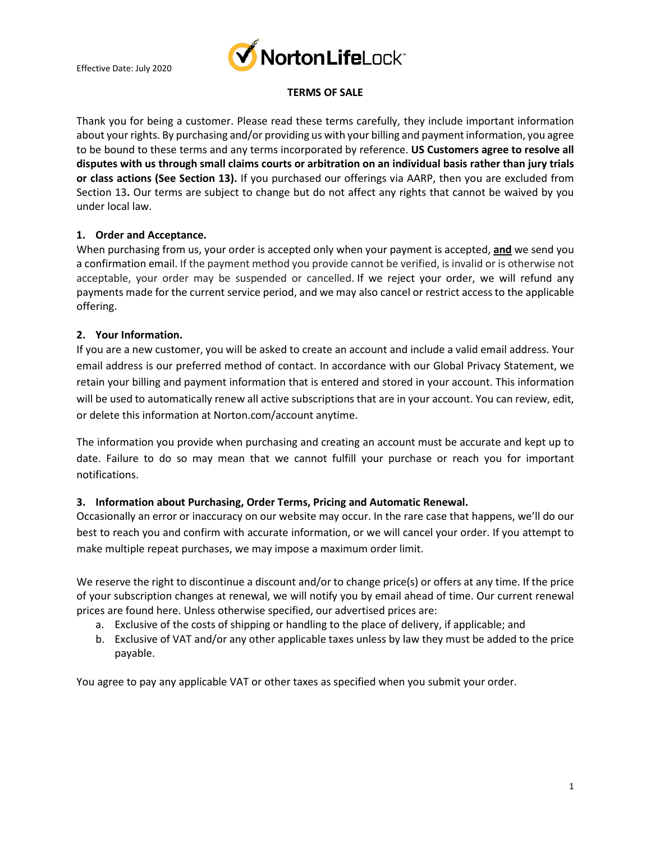

## **TERMS OF SALE**

Thank you for being a customer. Please read these terms carefully, they include important information about your rights. By purchasing and/or providing us with your billing and payment information, you agree to be bound to these terms and any terms incorporated by reference. **US Customers agree to resolve all disputes with us through small claims courts or arbitration on an individual basis rather than jury trials or class actions (See Section 13).** If you purchased our offerings via AARP, then you are excluded from Section 13**.** Our terms are subject to change but do not affect any rights that cannot be waived by you under local law.

## **1. Order and Acceptance.**

When purchasing from us, your order is accepted only when your payment is accepted, **and** we send you a confirmation email. If the payment method you provide cannot be verified, is invalid or is otherwise not acceptable, your order may be suspended or cancelled. If we reject your order, we will refund any payments made for the current service period, and we may also cancel or restrict access to the applicable offering.

#### **2. Your Information.**

If you are a new customer, you will be asked to create an account and include a valid email address. Your email address is our preferred method of contact. In accordance with our Global Privacy Statement, we retain your billing and payment information that is entered and stored in your account. This information will be used to automatically renew all active subscriptions that are in your account. You can review, edit, or delete this information at Norton.com/account anytime.

The information you provide when purchasing and creating an account must be accurate and kept up to date. Failure to do so may mean that we cannot fulfill your purchase or reach you for important notifications.

## **3. Information about Purchasing, Order Terms, Pricing and Automatic Renewal.**

Occasionally an error or inaccuracy on our website may occur. In the rare case that happens, we'll do our best to reach you and confirm with accurate information, or we will cancel your order. If you attempt to make multiple repeat purchases, we may impose a maximum order limit.

We reserve the right to discontinue a discount and/or to change price(s) or offers at any time. If the price of your subscription changes at renewal, we will notify you by email ahead of time. Our current renewal prices are found [here.](https://us.norton.com/pricing) Unless otherwise specified, our advertised prices are:

- a. Exclusive of the costs of shipping or handling to the place of delivery, if applicable; and
- b. Exclusive of VAT and/or any other applicable taxes unless by law they must be added to the price payable.

You agree to pay any applicable VAT or other taxes as specified when you submit your order.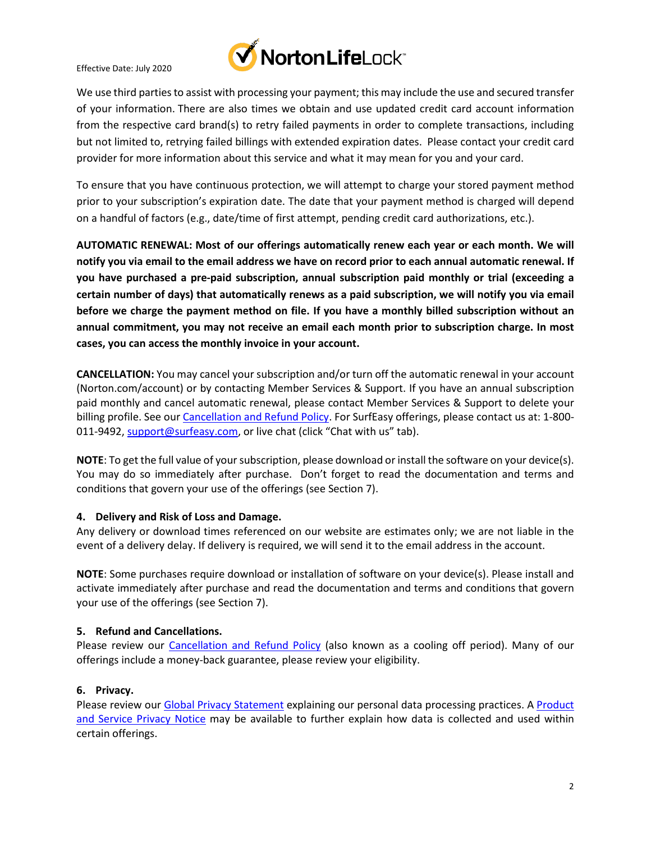

Effective Date: July 2020

We use third parties to assist with processing your payment; this may include the use and secured transfer of your information. There are also times we obtain and use updated credit card account information from the respective card brand(s) to retry failed payments in order to complete transactions, including but not limited to, retrying failed billings with extended expiration dates. Please contact your credit card provider for more information about this service and what it may mean for you and your card.

To ensure that you have continuous protection, we will attempt to charge your stored payment method prior to your subscription's expiration date. The date that your payment method is charged will depend on a handful of factors (e.g., date/time of first attempt, pending credit card authorizations, etc.).

**AUTOMATIC RENEWAL: Most of our offerings automatically renew each year or each month. We will notify you via email to the email address we have on record prior to each annual automatic renewal. If you have purchased a pre-paid subscription, annual subscription paid monthly or trial (exceeding a certain number of days) that automatically renews as a paid subscription, we will notify you via email before we charge the payment method on file. If you have a monthly billed subscription without an annual commitment, you may not receive an email each month prior to subscription charge. In most cases, you can access the monthly invoice in your account.** 

**CANCELLATION:** You may cancel your subscription and/or turn off the automatic renewal in your account (Norton.com/account) or by contacting Member Services & Support. If you have an annual subscription paid monthly and cancel automatic renewal, please contact Member Services & Support to delete your billing profile. See our [Cancellation and Refund Policy.](http://www.norton.com/return-policy) For SurfEasy offerings, please contact us at: 1-800 011-9492, [support@surfeasy.com,](mailto:support@surfeasy.com) or live chat (click "Chat with us" tab).

**NOTE**: To get the full value of your subscription, please download or install the software on your device(s). You may do so immediately after purchase. Don't forget to read the documentation and terms and conditions that govern your use of the offerings (see Section 7).

# **4. Delivery and Risk of Loss and Damage.**

Any delivery or download times referenced on our website are estimates only; we are not liable in the event of a delivery delay. If delivery is required, we will send it to the email address in the account.

**NOTE**: Some purchases require download or installation of software on your device(s). Please install and activate immediately after purchase and read the documentation and terms and conditions that govern your use of the offerings (see Section 7).

# **5. Refund and Cancellations.**

Please review our [Cancellation and Refund Policy](http://www.norton.com/return-policy) (also known as a cooling off period). Many of our offerings include a money-back guarantee, please review your eligibility.

## **6. Privacy.**

Please review our [Global Privacy Statement](https://www.nortonlifelock.com/us/en/privacy/global-privacy-statement/) explaining our personal data processing practices. A Product [and Service Privacy Notice](https://www.nortonlifelock.com/us/en/privacy/product-privacy-notices/) may be available to further explain how data is collected and used within certain offerings.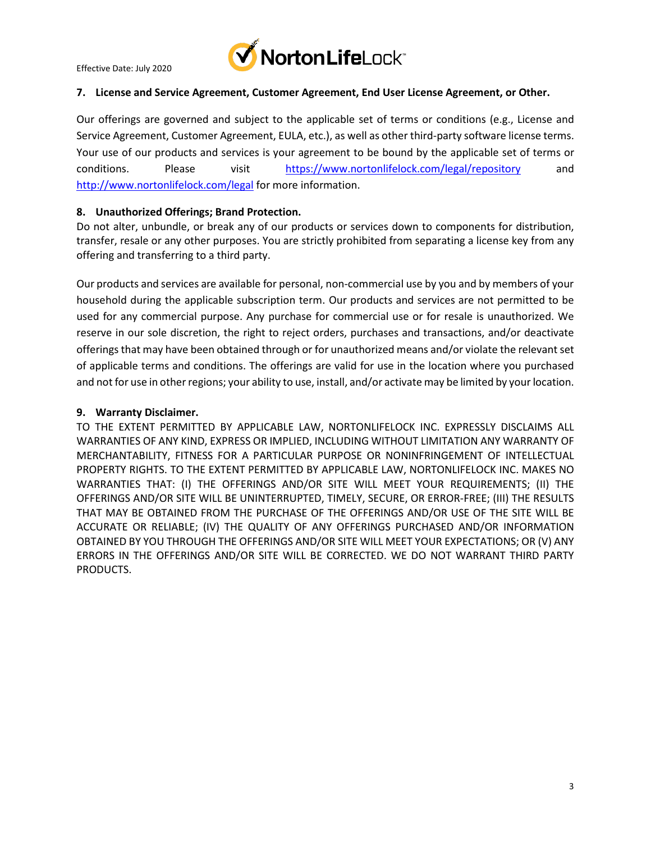

Effective Date: July 2020

## **7. License and Service Agreement, Customer Agreement, End User License Agreement, or Other.**

Our offerings are governed and subject to the applicable set of terms or conditions (e.g., License and Service Agreement, Customer Agreement, EULA, etc.), as well as other third-party software license terms. Your use of our products and services is your agreement to be bound by the applicable set of terms or conditions. Please visit <https://www.nortonlifelock.com/legal/repository> and <http://www.nortonlifelock.com/legal> for more information.

## **8. Unauthorized Offerings; Brand Protection.**

Do not alter, unbundle, or break any of our products or services down to components for distribution, transfer, resale or any other purposes. You are strictly prohibited from separating a license key from any offering and transferring to a third party.

Our products and services are available for personal, non-commercial use by you and by members of your household during the applicable subscription term. Our products and services are not permitted to be used for any commercial purpose. Any purchase for commercial use or for resale is unauthorized. We reserve in our sole discretion, the right to reject orders, purchases and transactions, and/or deactivate offerings that may have been obtained through or for unauthorized means and/or violate the relevant set of applicable terms and conditions. The offerings are valid for use in the location where you purchased and not for use in other regions; your ability to use, install, and/or activate may be limited by your location.

#### **9. Warranty Disclaimer.**

TO THE EXTENT PERMITTED BY APPLICABLE LAW, NORTONLIFELOCK INC. EXPRESSLY DISCLAIMS ALL WARRANTIES OF ANY KIND, EXPRESS OR IMPLIED, INCLUDING WITHOUT LIMITATION ANY WARRANTY OF MERCHANTABILITY, FITNESS FOR A PARTICULAR PURPOSE OR NONINFRINGEMENT OF INTELLECTUAL PROPERTY RIGHTS. TO THE EXTENT PERMITTED BY APPLICABLE LAW, NORTONLIFELOCK INC. MAKES NO WARRANTIES THAT: (I) THE OFFERINGS AND/OR SITE WILL MEET YOUR REQUIREMENTS; (II) THE OFFERINGS AND/OR SITE WILL BE UNINTERRUPTED, TIMELY, SECURE, OR ERROR-FREE; (III) THE RESULTS THAT MAY BE OBTAINED FROM THE PURCHASE OF THE OFFERINGS AND/OR USE OF THE SITE WILL BE ACCURATE OR RELIABLE; (IV) THE QUALITY OF ANY OFFERINGS PURCHASED AND/OR INFORMATION OBTAINED BY YOU THROUGH THE OFFERINGS AND/OR SITE WILL MEET YOUR EXPECTATIONS; OR (V) ANY ERRORS IN THE OFFERINGS AND/OR SITE WILL BE CORRECTED. WE DO NOT WARRANT THIRD PARTY PRODUCTS.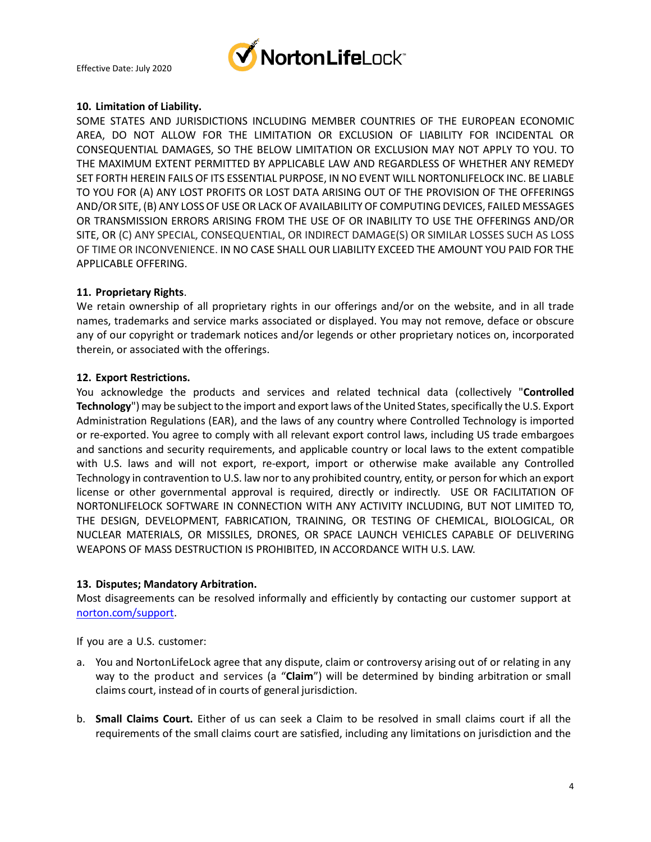

## **10. Limitation of Liability.**

SOME STATES AND JURISDICTIONS INCLUDING MEMBER COUNTRIES OF THE EUROPEAN ECONOMIC AREA, DO NOT ALLOW FOR THE LIMITATION OR EXCLUSION OF LIABILITY FOR INCIDENTAL OR CONSEQUENTIAL DAMAGES, SO THE BELOW LIMITATION OR EXCLUSION MAY NOT APPLY TO YOU. TO THE MAXIMUM EXTENT PERMITTED BY APPLICABLE LAW AND REGARDLESS OF WHETHER ANY REMEDY SET FORTH HEREIN FAILS OF ITS ESSENTIAL PURPOSE, IN NO EVENT WILL NORTONLIFELOCK INC. BE LIABLE TO YOU FOR (A) ANY LOST PROFITS OR LOST DATA ARISING OUT OF THE PROVISION OF THE OFFERINGS AND/OR SITE, (B) ANY LOSS OF USE OR LACK OF AVAILABILITY OF COMPUTING DEVICES, FAILED MESSAGES OR TRANSMISSION ERRORS ARISING FROM THE USE OF OR INABILITY TO USE THE OFFERINGS AND/OR SITE, OR (C) ANY SPECIAL, CONSEQUENTIAL, OR INDIRECT DAMAGE(S) OR SIMILAR LOSSES SUCH AS LOSS OF TIME OR INCONVENIENCE. IN NO CASE SHALL OUR LIABILITY EXCEED THE AMOUNT YOU PAID FOR THE APPLICABLE OFFERING.

#### **11. Proprietary Rights**.

We retain ownership of all proprietary rights in our offerings and/or on the website, and in all trade names, trademarks and service marks associated or displayed. You may not remove, deface or obscure any of our copyright or trademark notices and/or legends or other proprietary notices on, incorporated therein, or associated with the offerings.

#### **12. Export Restrictions.**

You acknowledge the products and services and related technical data (collectively "**Controlled Technology**") may be subject to the import and export laws of the United States, specifically the U.S. Export Administration Regulations (EAR), and the laws of any country where Controlled Technology is imported or re-exported. You agree to comply with all relevant export control laws, including US trade embargoes and sanctions and security requirements, and applicable country or local laws to the extent compatible with U.S. laws and will not export, re-export, import or otherwise make available any Controlled Technology in contravention to U.S. law nor to any prohibited country, entity, or person for which an export license or other governmental approval is required, directly or indirectly. USE OR FACILITATION OF NORTONLIFELOCK SOFTWARE IN CONNECTION WITH ANY ACTIVITY INCLUDING, BUT NOT LIMITED TO, THE DESIGN, DEVELOPMENT, FABRICATION, TRAINING, OR TESTING OF CHEMICAL, BIOLOGICAL, OR NUCLEAR MATERIALS, OR MISSILES, DRONES, OR SPACE LAUNCH VEHICLES CAPABLE OF DELIVERING WEAPONS OF MASS DESTRUCTION IS PROHIBITED, IN ACCORDANCE WITH U.S. LAW.

#### **13. Disputes; Mandatory Arbitration.**

Most disagreements can be resolved informally and efficiently by contacting our customer support at [norton.com/support.](https://support.norton.com/)

If you are a U.S. customer:

- a. You and NortonLifeLock agree that any dispute, claim or controversy arising out of or relating in any way to the product and services (a "**Claim**") will be determined by binding arbitration or small claims court, instead of in courts of general jurisdiction.
- b. **Small Claims Court.** Either of us can seek a Claim to be resolved in small claims court if all the requirements of the small claims court are satisfied, including any limitations on jurisdiction and the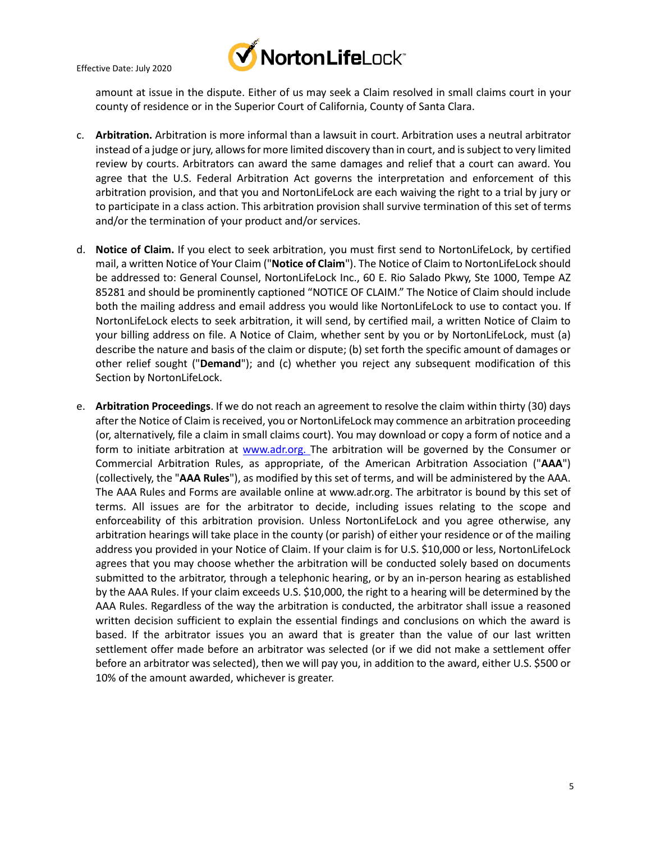



amount at issue in the dispute. Either of us may seek a Claim resolved in small claims court in your county of residence or in the Superior Court of California, County of Santa Clara.

- c. **Arbitration.** Arbitration is more informal than a lawsuit in court. Arbitration uses a neutral arbitrator instead of a judge or jury, allows for more limited discovery than in court, and is subject to very limited review by courts. Arbitrators can award the same damages and relief that a court can award. You agree that the U.S. Federal Arbitration Act governs the interpretation and enforcement of this arbitration provision, and that you and NortonLifeLock are each waiving the right to a trial by jury or to participate in a class action. This arbitration provision shall survive termination of this set of terms and/or the termination of your product and/or services.
- d. **Notice of Claim.** If you elect to seek arbitration, you must first send to NortonLifeLock, by certified mail, a written Notice of Your Claim ("**Notice of Claim**"). The Notice of Claim to NortonLifeLock should be addressed to: General Counsel, NortonLifeLock Inc., 60 E. Rio Salado Pkwy, Ste 1000, Tempe AZ 85281 and should be prominently captioned "NOTICE OF CLAIM." The Notice of Claim should include both the mailing address and email address you would like NortonLifeLock to use to contact you. If NortonLifeLock elects to seek arbitration, it will send, by certified mail, a written Notice of Claim to your billing address on file. A Notice of Claim, whether sent by you or by NortonLifeLock, must (a) describe the nature and basis of the claim or dispute; (b) set forth the specific amount of damages or other relief sought ("**Demand**"); and (c) whether you reject any subsequent modification of this Section by NortonLifeLock.
- e. **Arbitration Proceedings**. If we do not reach an agreement to resolve the claim within thirty (30) days after the Notice of Claim is received, you or NortonLifeLock may commence an arbitration proceeding (or, alternatively, file a claim in small claims court). You may download or copy a form of notice and a form to initiate arbitration at [www.adr.org.](http://www.adr.org/) The arbitration will be governed by the Consumer or Commercial Arbitration Rules, as appropriate, of the American Arbitration Association ("**AAA**") (collectively, the "**AAA Rules**"), as modified by this set of terms, and will be administered by the AAA. The AAA Rules and Forms are available online at [www.adr.org.](http://www.adr.org/) The arbitrator is bound by this set of terms. All issues are for the arbitrator to decide, including issues relating to the scope and enforceability of this arbitration provision. Unless NortonLifeLock and you agree otherwise, any arbitration hearings will take place in the county (or parish) of either your residence or of the mailing address you provided in your Notice of Claim. If your claim is for U.S. \$10,000 or less, NortonLifeLock agrees that you may choose whether the arbitration will be conducted solely based on documents submitted to the arbitrator, through a telephonic hearing, or by an in-person hearing as established by the AAA Rules. If your claim exceeds U.S. \$10,000, the right to a hearing will be determined by the AAA Rules. Regardless of the way the arbitration is conducted, the arbitrator shall issue a reasoned written decision sufficient to explain the essential findings and conclusions on which the award is based. If the arbitrator issues you an award that is greater than the value of our last written settlement offer made before an arbitrator was selected (or if we did not make a settlement offer before an arbitrator was selected), then we will pay you, in addition to the award, either U.S. \$500 or 10% of the amount awarded, whichever is greater.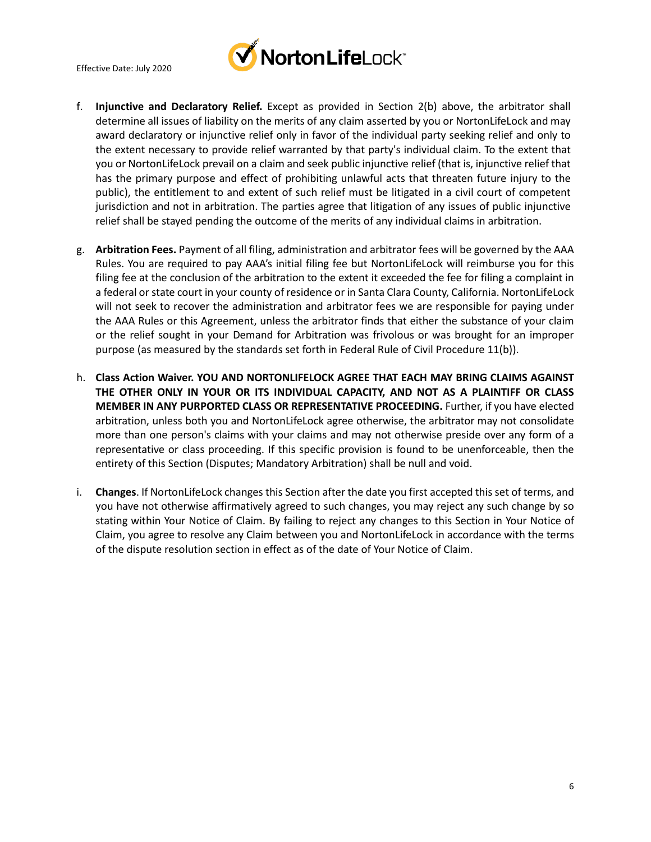

- f. **Injunctive and Declaratory Relief.** Except as provided in Section 2(b) above, the arbitrator shall determine all issues of liability on the merits of any claim asserted by you or NortonLifeLock and may award declaratory or injunctive relief only in favor of the individual party seeking relief and only to the extent necessary to provide relief warranted by that party's individual claim. To the extent that you or NortonLifeLock prevail on a claim and seek public injunctive relief (that is, injunctive relief that has the primary purpose and effect of prohibiting unlawful acts that threaten future injury to the public), the entitlement to and extent of such relief must be litigated in a civil court of competent jurisdiction and not in arbitration. The parties agree that litigation of any issues of public injunctive relief shall be stayed pending the outcome of the merits of any individual claims in arbitration.
- g. **Arbitration Fees.** Payment of all filing, administration and arbitrator fees will be governed by the AAA Rules. You are required to pay AAA's initial filing fee but NortonLifeLock will reimburse you for this filing fee at the conclusion of the arbitration to the extent it exceeded the fee for filing a complaint in a federal or state court in your county of residence or in Santa Clara County, California. NortonLifeLock will not seek to recover the administration and arbitrator fees we are responsible for paying under the AAA Rules or this Agreement, unless the arbitrator finds that either the substance of your claim or the relief sought in your Demand for Arbitration was frivolous or was brought for an improper purpose (as measured by the standards set forth in Federal Rule of Civil Procedure 11(b)).
- h. **Class Action Waiver. YOU AND NORTONLIFELOCK AGREE THAT EACH MAY BRING CLAIMS AGAINST THE OTHER ONLY IN YOUR OR ITS INDIVIDUAL CAPACITY, AND NOT AS A PLAINTIFF OR CLASS MEMBER IN ANY PURPORTED CLASS OR REPRESENTATIVE PROCEEDING.** Further, if you have elected arbitration, unless both you and NortonLifeLock agree otherwise, the arbitrator may not consolidate more than one person's claims with your claims and may not otherwise preside over any form of a representative or class proceeding. If this specific provision is found to be unenforceable, then the entirety of this Section (Disputes; Mandatory Arbitration) shall be null and void.
- i. **Changes**. If NortonLifeLock changes this Section after the date you first accepted this set of terms, and you have not otherwise affirmatively agreed to such changes, you may reject any such change by so stating within Your Notice of Claim. By failing to reject any changes to this Section in Your Notice of Claim, you agree to resolve any Claim between you and NortonLifeLock in accordance with the terms of the dispute resolution section in effect as of the date of Your Notice of Claim.